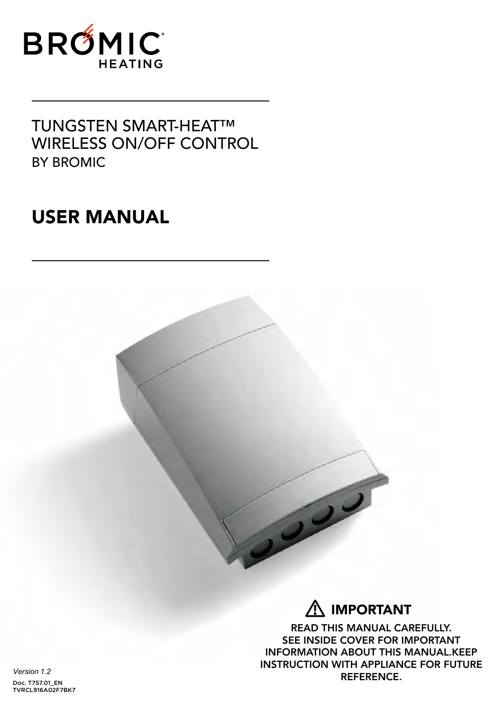

### TUNGSTEN SMART-HEAT™ WIRELESS ON/OFF CONTROL BY BROMIC

# USER MANUAL



# $\underline{\mathsf{\hat{N}}}$  important

READ THIS MANUAL CAREFULLY. SEE INSIDE COVER FOR IMPORTANT INFORMATION ABOUT THIS MANUAL.KEEP INSTRUCTION WITH APPLIANCE FOR FUTURE REFERENCE.

*Version 1.2* Doc. T757.01\_EN TVRCL916A02F7BK7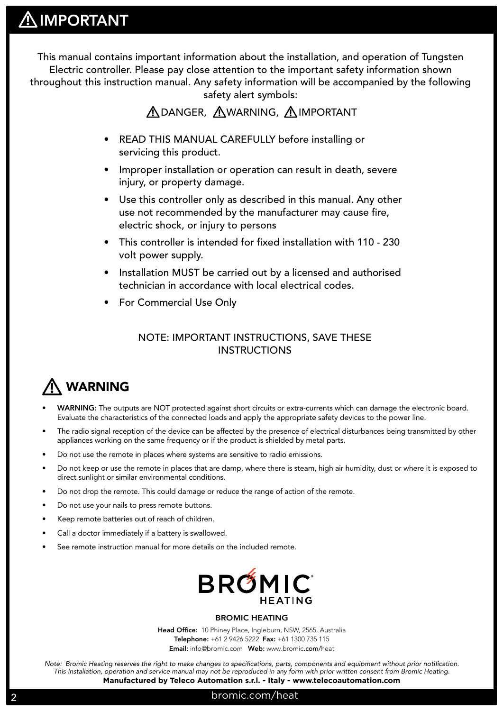This manual contains important information about the installation, and operation of Tungsten Electric controller. Please pay close attention to the important safety information shown throughout this instruction manual. Any safety information will be accompanied by the following safety alert symbols:

### **ADANGER, AWARNING, AIMPORTANT**

- READ THIS MANUAL CAREFULLY before installing or servicing this product.
- Improper installation or operation can result in death, severe injury, or property damage.
- Use this controller only as described in this manual. Any other use not recommended by the manufacturer may cause fire, electric shock, or injury to persons
- This controller is intended for fixed installation with 110 230 volt power supply.
- Installation MUST be carried out by a licensed and authorised technician in accordance with local electrical codes.
- For Commercial Use Only

### NOTE: IMPORTANT INSTRUCTIONS, SAVE THESE **INSTRUCTIONS**

#### WARNING **!**

- WARNING: The outputs are NOT protected against short circuits or extra-currents which can damage the electronic board. Evaluate the characteristics of the connected loads and apply the appropriate safety devices to the power line.
- The radio signal reception of the device can be affected by the presence of electrical disturbances being transmitted by other appliances working on the same frequency or if the product is shielded by metal parts.
- Do not use the remote in places where systems are sensitive to radio emissions.
- Do not keep or use the remote in places that are damp, where there is steam, high air humidity, dust or where it is exposed to direct sunlight or similar environmental conditions.
- Do not drop the remote. This could damage or reduce the range of action of the remote.
- Do not use your nails to press remote buttons.
- Keep remote batteries out of reach of children.
- Call a doctor immediately if a battery is swallowed.
- See remote instruction manual for more details on the included remote.



#### BROMIC HEATING

Head Office: 10 Phiney Place, Ingleburn, NSW, 2565, Australia Telephone: +61 2 9426 5222 Fax: +61 1300 735 115 Email: info@bromic.com Web: www.bromic.com/heat

*Note: Bromic Heating reserves the right to make changes to specifications, parts, components and equipment without prior notification. This Installation, operation and service manual may not be reproduced in any form with prior written consent from Bromic Heating.*  **Manufactured by Teleco Automation s.r.l. - Italy - www.telecoautomation.com**

### 2 bromic.com/heat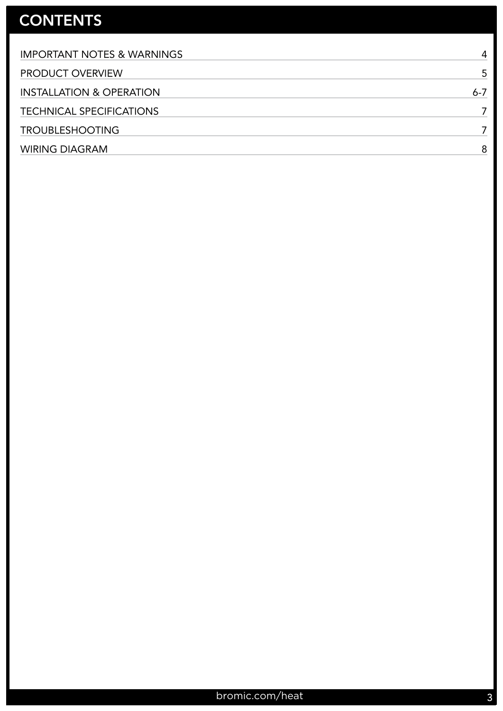### **CONTENTS**

| <b>IMPORTANT NOTES &amp; WARNINGS</b> | 4       |
|---------------------------------------|---------|
| <b>PRODUCT OVERVIEW</b>               |         |
| <b>INSTALLATION &amp; OPERATION</b>   | $6 - 7$ |
| <b>TECHNICAL SPECIFICATIONS</b>       |         |
| <b>TROUBLESHOOTING</b>                |         |
| <b>WIRING DIAGRAM</b>                 | 8       |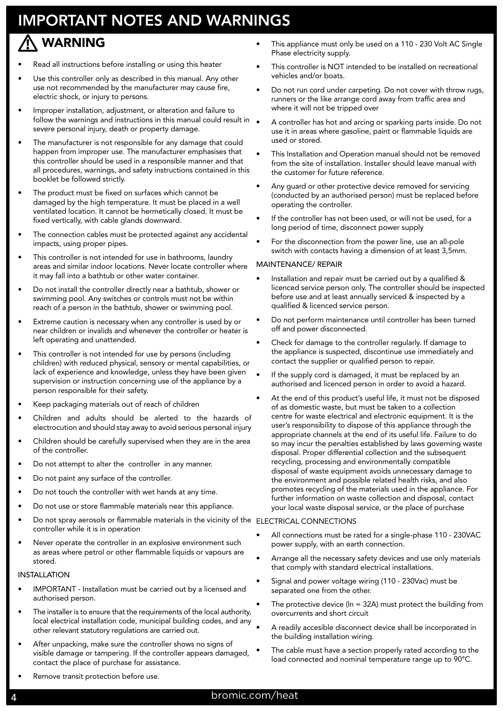## IMPORTANT NOTES AND WARNINGS

#### WARNING **!**

- Read all instructions before installing or using this heater
- Use this controller only as described in this manual. Any other use not recommended by the manufacturer may cause fire, electric shock, or injury to persons.
- Improper installation, adjustment, or alteration and failure to follow the warnings and instructions in this manual could result in  $\bullet$ severe personal injury, death or property damage.
- The manufacturer is not responsible for any damage that could happen from improper use. The manufacturer emphasises that this controller should be used in a responsible manner and that all procedures, warnings, and safety instructions contained in this booklet be followed strictly.
- The product must be fixed on surfaces which cannot be damaged by the high temperature. It must be placed in a well ventilated location. It cannot be hermetically closed. It must be fixed vertically, with cable glands downward.
- The connection cables must be protected against any accidental impacts, using proper pipes.
- This controller is not intended for use in bathrooms, laundry areas and similar indoor locations. Never locate controller where it may fall into a bathtub or other water container.
- Do not install the controller directly near a bathtub, shower or swimming pool. Any switches or controls must not be within reach of a person in the bathtub, shower or swimming pool.
- Extreme caution is necessary when any controller is used by or near children or invalids and whenever the controller or heater is left operating and unattended.
- This controller is not intended for use by persons (including children) with reduced physical, sensory or mental capabilities, or lack of experience and knowledge, unless they have been given supervision or instruction concerning use of the appliance by a person responsible for their safety.
- Keep packaging materials out of reach of children
- Children and adults should be alerted to the hazards of electrocution and should stay away to avoid serious personal injury
- Children should be carefully supervised when they are in the area of the controller.
- Do not attempt to alter the controller in any manner.
- Do not paint any surface of the controller.
- Do not touch the controller with wet hands at any time.
- Do not use or store flammable materials near this appliance.
- Do not spray aerosols or flammable materials in the vicinity of the ELECTRICAL CONNECTIONS controller while it is in operation
- Never operate the controller in an explosive environment such as areas where petrol or other flammable liquids or vapours are stored.

### INSTALLATION

- IMPORTANT Installation must be carried out by a licensed and authorised person.
- The installer is to ensure that the requirements of the local authority, local electrical installation code, municipal building codes, and any other relevant statutory regulations are carried out.
- After unpacking, make sure the controller shows no signs of visible damage or tampering. If the controller appears damaged, contact the place of purchase for assistance.
- This appliance must only be used on a 110 230 Volt AC Single Phase electricity supply.
- This controller is NOT intended to be installed on recreational vehicles and/or boats.
- Do not run cord under carpeting. Do not cover with throw rugs, runners or the like arrange cord away from traffic area and where it will not be tripped over
- A controller has hot and arcing or sparking parts inside. Do not use it in areas where gasoline, paint or flammable liquids are used or stored.
- This Installation and Operation manual should not be removed from the site of installation. Installer should leave manual with the customer for future reference.
- Any guard or other protective device removed for servicing (conducted by an authorised person) must be replaced before operating the controller.
- If the controller has not been used, or will not be used, for a long period of time, disconnect power supply
- For the disconnection from the power line, use an all-pole switch with contacts having a dimension of at least 3,5mm.

#### MAINTENANCE/ REPAIR

- Installation and repair must be carried out by a qualified & licenced service person only. The controller should be inspected before use and at least annually serviced & inspected by a qualified & licenced service person.
- Do not perform maintenance until controller has been turned off and power disconnected.
- Check for damage to the controller regularly. If damage to the appliance is suspected, discontinue use immediately and contact the supplier or qualified person to repair.
- If the supply cord is damaged, it must be replaced by an authorised and licenced person in order to avoid a hazard.
- At the end of this product's useful life, it must not be disposed of as domestic waste, but must be taken to a collection centre for waste electrical and electronic equipment. It is the user's responsibility to dispose of this appliance through the appropriate channels at the end of its useful life. Failure to do so may incur the penalties established by laws governing waste disposal. Proper differential collection and the subsequent recycling, processing and environmentally compatible disposal of waste equipment avoids unnecessary damage to the environment and possible related health risks, and also promotes recycling of the materials used in the appliance. For further information on waste collection and disposal, contact your local waste disposal service, or the place of purchase

- All connections must be rated for a single-phase 110 230VAC power supply, with an earth connection.
- Arrange all the necessary safety devices and use only materials that comply with standard electrical installations.
- Signal and power voltage wiring (110 230Vac) must be separated one from the other.
- The protective device ( $ln = 32A$ ) must protect the building from overcurrents and short circuit
- A readily accesible disconnect device shall be incorporated in the building installation wiring.
- The cable must have a section properly rated according to the load connected and nominal temperature range up to 90°C.

Remove transit protection before use.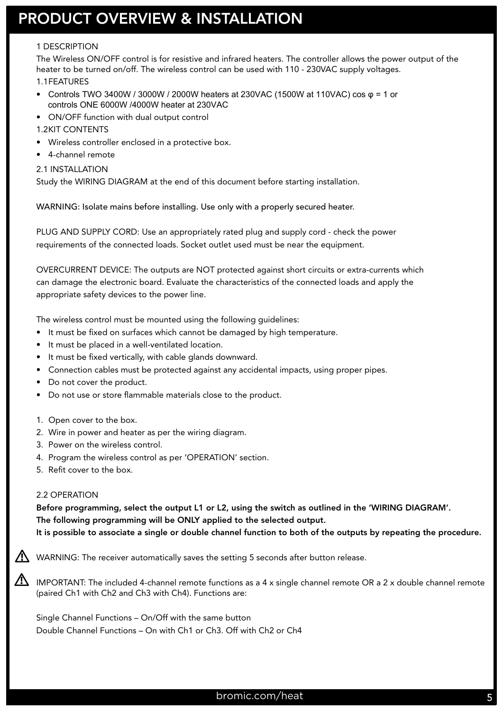### PRODUCT OVERVIEW & INSTALLATION

#### 1 DESCRIPTION

The Wireless ON/OFF control is for resistive and infrared heaters. The controller allows the power output of the heater to be turned on/off. The wireless control can be used with 110 - 230VAC supply voltages. 1.1 FEATURES

- Controls TWO 3400W / 3000W / 2000W heaters at 230VAC (1500W at 110VAC) cos  $φ = 1$  or controls ONE 6000W /4000W heater at 230VAC
- ON/OFF function with dual output control
- 1.2 KIT CONTENTS
- Wireless controller enclosed in a protective box.
- 4-channel remote
- 2.1 INSTALLATION

Study the WIRING DIAGRAM at the end of this document before starting installation.

WARNING: Isolate mains before installing. Use only with a properly secured heater.

PLUG AND SUPPLY CORD: Use an appropriately rated plug and supply cord - check the power requirements of the connected loads. Socket outlet used must be near the equipment.

OVERCURRENT DEVICE: The outputs are NOT protected against short circuits or extra-currents which can damage the electronic board. Evaluate the characteristics of the connected loads and apply the appropriate safety devices to the power line.

The wireless control must be mounted using the following guidelines:

- It must be fixed on surfaces which cannot be damaged by high temperature.
- It must be placed in a well-ventilated location.
- It must be fixed vertically, with cable glands downward.
- Connection cables must be protected against any accidental impacts, using proper pipes.
- Do not cover the product.
- Do not use or store flammable materials close to the product.
- 1. Open cover to the box.
- 2. Wire in power and heater as per the wiring diagram.
- 3. Power on the wireless control.
- 4. Program the wireless control as per 'OPERATION' section.
- 5. Refit cover to the box.

#### 2.2 OPERATION

**!**

**!**

Before programming, select the output L1 or L2, using the switch as outlined in the 'WIRING DIAGRAM'. The following programming will be ONLY applied to the selected output.

It is possible to associate a single or double channel function to both of the outputs by repeating the procedure.

WARNING: The receiver automatically saves the setting 5 seconds after button release.

IMPORTANT: The included 4-channel remote functions as a 4 x single channel remote OR a 2 x double channel remote (paired Ch1 with Ch2 and Ch3 with Ch4). Functions are:

Single Channel Functions – On/Off with the same button Double Channel Functions – On with Ch1 or Ch3. Off with Ch2 or Ch4

### bromic.com/heat 5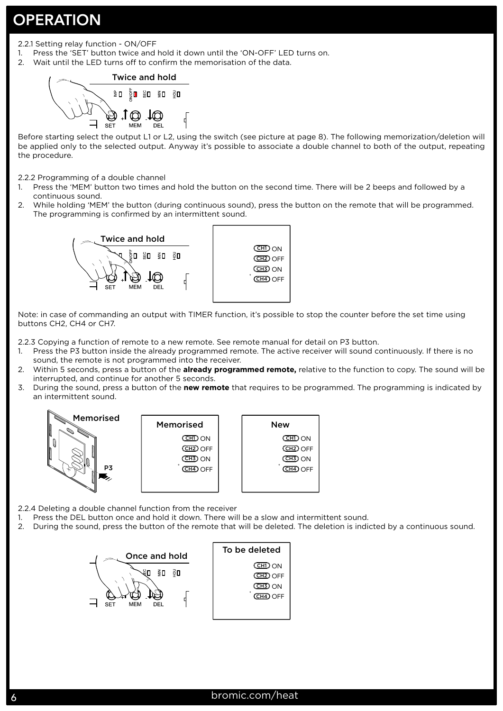### **OPERATION**

- 2.2.1 Setting relay function ON/OFF
- 1. Press the 'SET' button twice and hold it down until the 'ON-OFF' LED turns on.
- 2. Wait until the LED turns off to confirm the memorisation of the data.

#### Twice and hold у⊓ ैП ្លួប €∎ ॄ⊡ .I ෆ

Before starting select the output L1 or L2, using the switch (see picture at page 8). The following memorization/deletion will be applied only to the selected output. Anyway it's possible to associate a double channel to both of the output, repeating the procedure.

2.2.2 Programming of a double channel

- 1. Press the 'MEM' button two times and hold the button on the second time. There will be 2 beeps and followed by a continuous sound.
- 2. While holding 'MEM' the button (during continuous sound), press the button on the remote that will be programmed. The programming is confirmed by an intermittent sound.



Note: in case of commanding an output with TIMER function, it's possible to stop the counter before the set time using buttons CH2, CH4 or CH7.

2.2.3 Copying a function of remote to a new remote. See remote manual for detail on P3 button.

- 1. Press the P3 button inside the already programmed remote. The active receiver will sound continuously. If there is no sound, the remote is not programmed into the receiver.
- 2. Within 5 seconds, press a button of the **already programmed remote,** relative to the function to copy. The sound will be interrupted, and continue for another 5 seconds.
- 3. During the sound, press a button of the **new remote** that requires to be programmed. The programming is indicated by an intermittent sound.



2.2.4 Deleting a double channel function from the receiver

- 1. Press the DEL button once and hold it down. There will be a slow and intermittent sound.
- 2. During the sound, press the button of the remote that will be deleted. The deletion is indicted by a continuous sound.

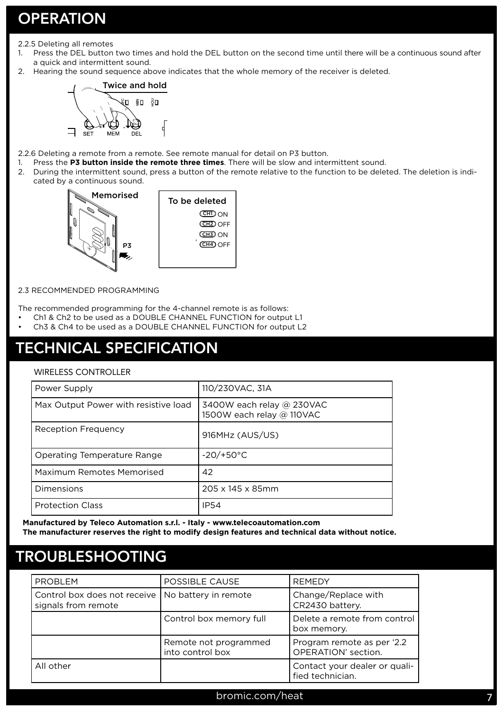### **OPERATION**

- 2.2.5 Deleting all remotes
- 1. Press the DEL button two times and hold the DEL button on the second time until there will be a continuous sound after a quick and intermittent sound.
- 2. Hearing the sound sequence above indicates that the whole memory of the receiver is deleted.



2.2.6 Deleting a remote from a remote. See remote manual for detail on P3 button.

- 1. Press the **P3 button inside the remote three times**. There will be slow and intermittent sound.
- 2. During the intermittent sound, press a button of the remote relative to the function to be deleted. The deletion is indicated by a continuous sound.



#### 2.3 RECOMMENDED PROGRAMMING

The recommended programming for the 4-channel remote is as follows:

- Ch1 & Ch2 to be used as a DOUBLE CHANNEL FUNCTION for output L1
- Ch3 & Ch4 to be used as a DOUBLE CHANNEL FUNCTION for output L2

### TECHNICAL SPECIFICATION

#### WIRELESS CONTROLLER

| Power Supply                         | 110/230VAC, 31A                                        |
|--------------------------------------|--------------------------------------------------------|
| Max Output Power with resistive load | 3400W each relay @ 230VAC<br>1500W each relay @ 110VAC |
| Reception Frequency                  | 916MHz (AUS/US)                                        |
| Operating Temperature Range          | $-20/+50°C$                                            |
| Maximum Remotes Memorised            | 42                                                     |
| Dimensions                           | 205 x 145 x 85mm                                       |
| <b>Protection Class</b>              | <b>IP54</b>                                            |

**Manufactured by Teleco Automation s.r.l. - Italy - www.telecoautomation.com The manufacturer reserves the right to modify design features and technical data without notice.**

### TROUBLESHOOTING

| <b>PROBLEM</b>                                                             | POSSIBLE CAUSE                            | <b>REMEDY</b>                                     |
|----------------------------------------------------------------------------|-------------------------------------------|---------------------------------------------------|
| Control box does not receive   No battery in remote<br>signals from remote |                                           | Change/Replace with<br>CR2430 battery.            |
|                                                                            | Control box memory full                   | Delete a remote from control<br>box memory.       |
|                                                                            | Remote not programmed<br>into control box | Program remote as per '2.2<br>OPERATION' section. |
| All other                                                                  |                                           | Contact your dealer or quali-<br>fied technician. |